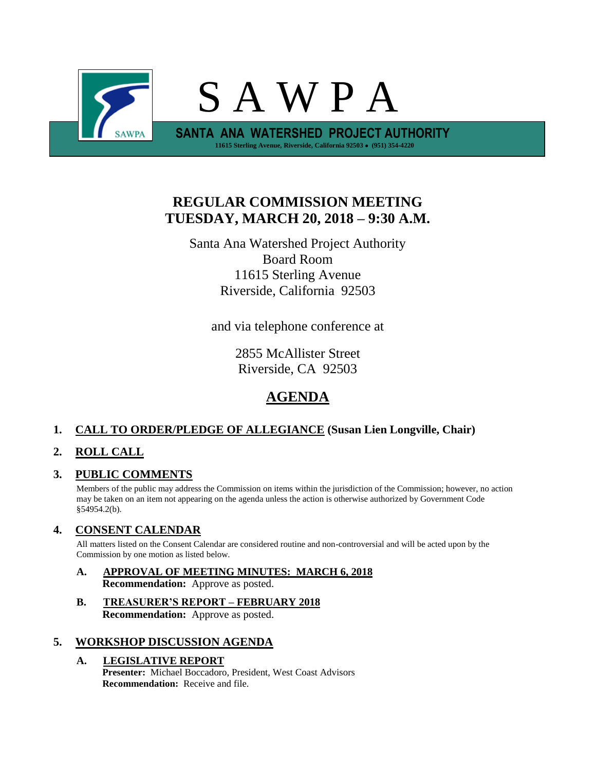

# **REGULAR COMMISSION MEETING TUESDAY, MARCH 20, 2018 – 9:30 A.M.**

Santa Ana Watershed Project Authority Board Room 11615 Sterling Avenue Riverside, California 92503

and via telephone conference at

2855 McAllister Street Riverside, CA 92503

## **AGENDA**

## **1. CALL TO ORDER/PLEDGE OF ALLEGIANCE (Susan Lien Longville, Chair)**

## **2. ROLL CALL**

## **3. PUBLIC COMMENTS**

Members of the public may address the Commission on items within the jurisdiction of the Commission; however, no action may be taken on an item not appearing on the agenda unless the action is otherwise authorized by Government Code §54954.2(b).

## **4. CONSENT CALENDAR**

All matters listed on the Consent Calendar are considered routine and non-controversial and will be acted upon by the Commission by one motion as listed below.

- **A. APPROVAL OF MEETING MINUTES: MARCH 6, 2018 Recommendation:** Approve as posted.
- **B. TREASURER'S REPORT – FEBRUARY 2018 Recommendation:** Approve as posted.

## **5. WORKSHOP DISCUSSION AGENDA**

#### **A. LEGISLATIVE REPORT**

**Presenter:** Michael Boccadoro, President, West Coast Advisors **Recommendation:** Receive and file.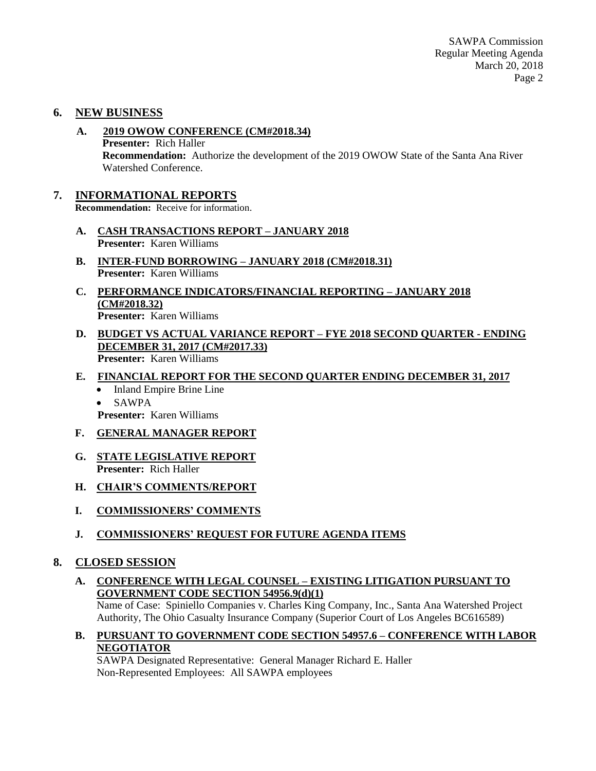SAWPA Commission Regular Meeting Agenda March 20, 2018 Page 2

### **6. NEW BUSINESS**

- **A. 2019 OWOW CONFERENCE (CM#2018.34) Presenter:** Rich Haller **Recommendation:** Authorize the development of the 2019 OWOW State of the Santa Ana River Watershed Conference.
- **7. INFORMATIONAL REPORTS Recommendation:** Receive for information.
	- **A. CASH TRANSACTIONS REPORT – JANUARY 2018 Presenter:** Karen Williams
	- **B. INTER-FUND BORROWING – JANUARY 2018 (CM#2018.31) Presenter:** Karen Williams
	- **C. PERFORMANCE INDICATORS/FINANCIAL REPORTING – JANUARY 2018 (CM#2018.32) Presenter:** Karen Williams
	- **D. BUDGET VS ACTUAL VARIANCE REPORT – FYE 2018 SECOND QUARTER - ENDING DECEMBER 31, 2017 (CM#2017.33) Presenter:** Karen Williams
	- **E. FINANCIAL REPORT FOR THE SECOND QUARTER ENDING DECEMBER 31, 2017**
		- Inland Empire Brine Line
		- SAWPA
		- **Presenter:** Karen Williams
	- **F. GENERAL MANAGER REPORT**
	- **G. STATE LEGISLATIVE REPORT Presenter:** Rich Haller
	- **H. CHAIR'S COMMENTS/REPORT**
	- **I. COMMISSIONERS' COMMENTS**
	- **J. COMMISSIONERS' REQUEST FOR FUTURE AGENDA ITEMS**

#### **8. CLOSED SESSION**

**A. CONFERENCE WITH LEGAL COUNSEL – EXISTING LITIGATION PURSUANT TO GOVERNMENT CODE SECTION 54956.9(d)(1)**

Name of Case: Spiniello Companies v. Charles King Company, Inc., Santa Ana Watershed Project Authority, The Ohio Casualty Insurance Company (Superior Court of Los Angeles BC616589)

**B. PURSUANT TO GOVERNMENT CODE SECTION 54957.6 – CONFERENCE WITH LABOR NEGOTIATOR**

SAWPA Designated Representative: General Manager Richard E. Haller Non-Represented Employees: All SAWPA employees